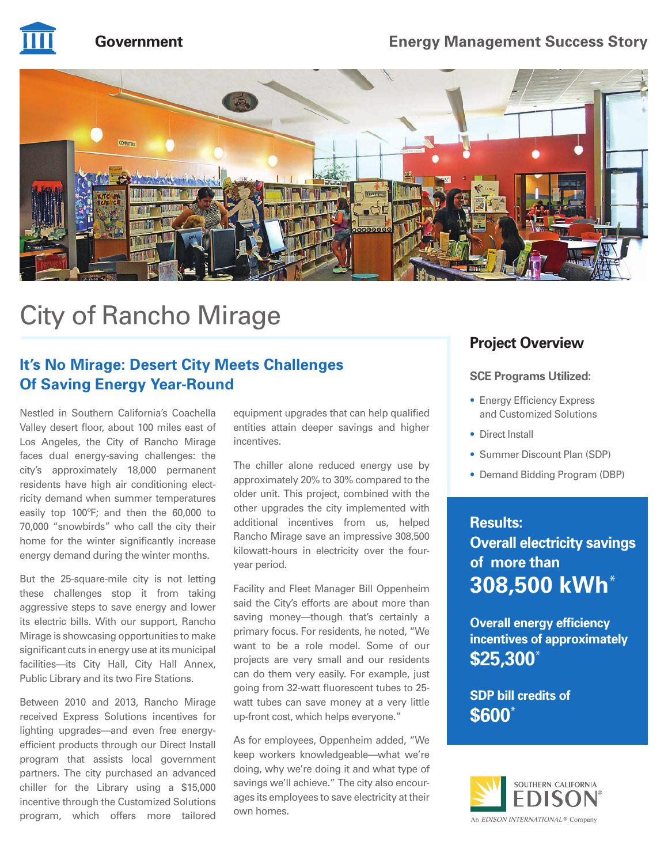

# **Government Energy Management Success Story**



# City of Rancho Mirage

# **It's No Mirage: Desert City Meets Challenges Of Saving Energy Year-Round**

Nestled in Southern California's Coachella Valley desert floor, about 100 miles east of Los Angeles, the City of Rancho Mirage faces dual energy-saving challenges: the city's approximately 18,000 permanent residents have high air conditioning electricity demand when summer temperatures easily top 100ºF; and then the 60,000 to 70,000 "snowbirds" who call the city their home for the winter significantly increase energy demand during the winter months.

But the 25-square-mile city is not letting these challenges stop it from taking aggressive steps to save energy and lower its electric bills. With our support, Rancho Mirage is showcasing opportunities to make significant cuts in energy use at its municipal facilities—its City Hall, City Hall Annex, Public Library and its two Fire Stations.

Between 2010 and 2013, Rancho Mirage received Express Solutions incentives for lighting upgrades—and even free energyefficient products through our Direct Install program that assists local government partners. The city purchased an advanced chiller for the Library using a \$15,000 incentive through the Customized Solutions program, which offers more tailored

equipment upgrades that can help qualified entities attain deeper savings and higher incentives.

The chiller alone reduced energy use by approximately 20% to 30% compared to the older unit. This project, combined with the other upgrades the city implemented with additional incentives from us, helped Rancho Mirage save an impressive 308,500 kilowatt-hours in electricity over the fouryear period.

Facility and Fleet Manager Bill Oppenheim said the City's efforts are about more than saving money—though that's certainly a primary focus. For residents, he noted, "We want to be a role model. Some of our projects are very small and our residents can do them very easily. For example, just going from 32-watt fluorescent tubes to 25 watt tubes can save money at a very little up-front cost, which helps everyone."

As for employees, Oppenheim added, "We keep workers knowledgeable—what we're doing, why we're doing it and what type of savings we'll achieve." The city also encourages its employees to save electricity at their own homes.

# **Project Overview**

#### **SCE Programs Utilized:**

- Energy Efficiency Express and Customized Solutions
- Direct Install
- Summer Discount Plan (SDP)
- Demand Bidding Program (DBP)

## **Results:**

**Overall electricity savings of more than 308,500 kWh**\*

**Overall energy efficiency incentives of approximately \$25,300**\*

**SDP bill credits of \$600**\*